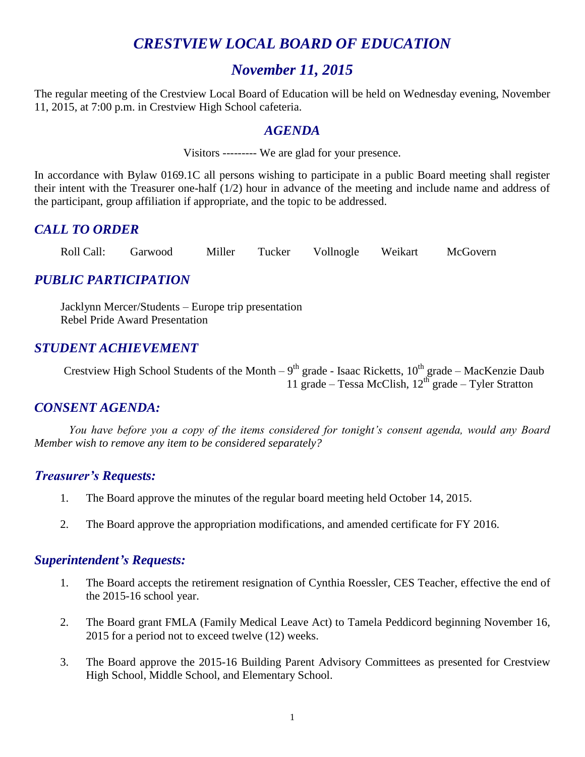# *CRESTVIEW LOCAL BOARD OF EDUCATION*

# *November 11, 2015*

The regular meeting of the Crestview Local Board of Education will be held on Wednesday evening, November 11, 2015, at 7:00 p.m. in Crestview High School cafeteria.

## *AGENDA*

Visitors --------- We are glad for your presence.

In accordance with Bylaw 0169.1C all persons wishing to participate in a public Board meeting shall register their intent with the Treasurer one-half (1/2) hour in advance of the meeting and include name and address of the participant, group affiliation if appropriate, and the topic to be addressed.

# *CALL TO ORDER*

Roll Call: Garwood Miller Tucker Vollnogle Weikart McGovern

# *PUBLIC PARTICIPATION*

Jacklynn Mercer/Students – Europe trip presentation Rebel Pride Award Presentation

# *STUDENT ACHIEVEMENT*

Crestview High School Students of the Month –  $9<sup>th</sup>$  grade - Isaac Ricketts,  $10<sup>th</sup>$  grade – MacKenzie Daub 11 grade – Tessa McClish,  $12^{th}$  grade – Tyler Stratton

## *CONSENT AGENDA:*

*You have before you a copy of the items considered for tonight's consent agenda, would any Board Member wish to remove any item to be considered separately?*

## *Treasurer's Requests:*

- 1. The Board approve the minutes of the regular board meeting held October 14, 2015.
- 2. The Board approve the appropriation modifications, and amended certificate for FY 2016.

#### *Superintendent's Requests:*

- 1. The Board accepts the retirement resignation of Cynthia Roessler, CES Teacher, effective the end of the 2015-16 school year.
- 2. The Board grant FMLA (Family Medical Leave Act) to Tamela Peddicord beginning November 16, 2015 for a period not to exceed twelve (12) weeks.
- 3. The Board approve the 2015-16 Building Parent Advisory Committees as presented for Crestview High School, Middle School, and Elementary School.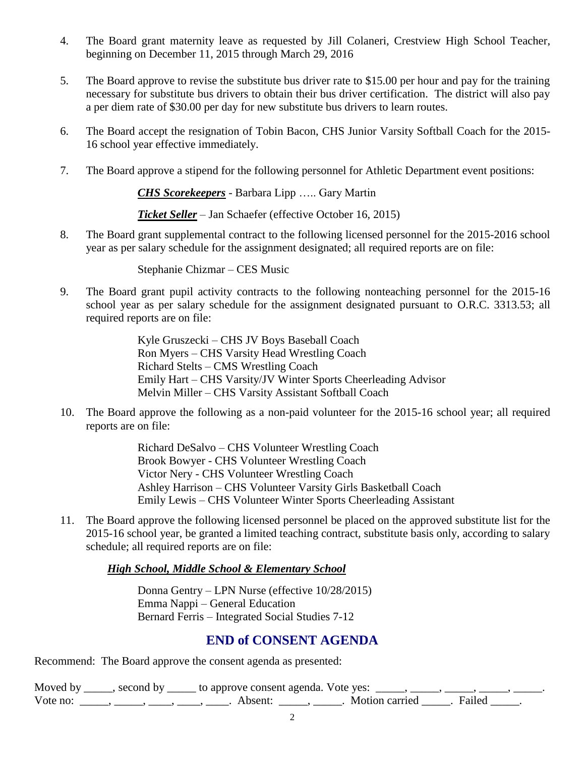- 4. The Board grant maternity leave as requested by Jill Colaneri, Crestview High School Teacher, beginning on December 11, 2015 through March 29, 2016
- 5. The Board approve to revise the substitute bus driver rate to \$15.00 per hour and pay for the training necessary for substitute bus drivers to obtain their bus driver certification. The district will also pay a per diem rate of \$30.00 per day for new substitute bus drivers to learn routes.
- 6. The Board accept the resignation of Tobin Bacon, CHS Junior Varsity Softball Coach for the 2015- 16 school year effective immediately.
- 7. The Board approve a stipend for the following personnel for Athletic Department event positions:

*CHS Scorekeepers* - Barbara Lipp ….. Gary Martin

*Ticket Seller* – Jan Schaefer (effective October 16, 2015)

8. The Board grant supplemental contract to the following licensed personnel for the 2015-2016 school year as per salary schedule for the assignment designated; all required reports are on file:

Stephanie Chizmar – CES Music

9. The Board grant pupil activity contracts to the following nonteaching personnel for the 2015-16 school year as per salary schedule for the assignment designated pursuant to O.R.C. 3313.53; all required reports are on file:

> Kyle Gruszecki – CHS JV Boys Baseball Coach Ron Myers – CHS Varsity Head Wrestling Coach Richard Stelts – CMS Wrestling Coach Emily Hart – CHS Varsity/JV Winter Sports Cheerleading Advisor Melvin Miller – CHS Varsity Assistant Softball Coach

10. The Board approve the following as a non-paid volunteer for the 2015-16 school year; all required reports are on file:

> Richard DeSalvo – CHS Volunteer Wrestling Coach Brook Bowyer - CHS Volunteer Wrestling Coach Victor Nery - CHS Volunteer Wrestling Coach Ashley Harrison – CHS Volunteer Varsity Girls Basketball Coach Emily Lewis – CHS Volunteer Winter Sports Cheerleading Assistant

11. The Board approve the following licensed personnel be placed on the approved substitute list for the 2015-16 school year, be granted a limited teaching contract, substitute basis only, according to salary schedule; all required reports are on file:

#### *High School, Middle School & Elementary School*

Donna Gentry – LPN Nurse (effective 10/28/2015) Emma Nappi – General Education Bernard Ferris – Integrated Social Studies 7-12

# **END of CONSENT AGENDA**

Recommend: The Board approve the consent agenda as presented:

Moved by \_\_\_\_, second by \_\_\_\_\_ to approve consent agenda. Vote yes: \_\_\_\_, \_\_\_\_, \_\_\_\_, \_\_\_\_, Vote no: \_\_\_\_, \_\_\_\_, \_\_\_, \_\_\_\_, \_\_\_\_, Absent: \_\_\_\_, \_\_\_\_, Motion carried \_\_\_\_\_. Failed \_\_\_\_.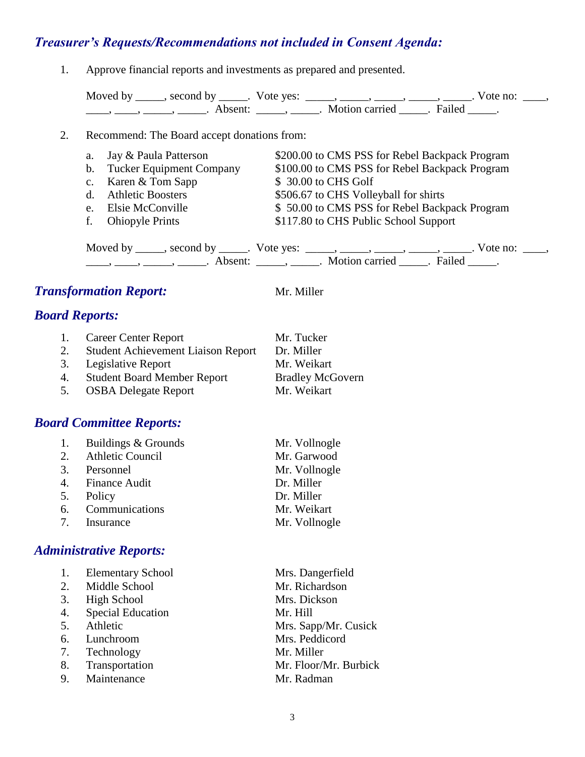# *Treasurer's Requests/Recommendations not included in Consent Agenda:*

1. Approve financial reports and investments as prepared and presented.

| Moved by | second by           | Vote yes: |                |        | Vote no: |
|----------|---------------------|-----------|----------------|--------|----------|
|          | Absent <sup>.</sup> |           | Motion carried | Failed |          |

#### 2. Recommend: The Board accept donations from:

| a. Jay & Paula Patterson    | \$200.00 to CMS PSS for Rebel Backpack Program |
|-----------------------------|------------------------------------------------|
| b. Tucker Equipment Company | \$100.00 to CMS PSS for Rebel Backpack Program |
| c. Karen & Tom Sapp         | \$30.00 to CHS Golf                            |
| d. Athletic Boosters        | \$506.67 to CHS Volleyball for shirts          |
| e. Elsie McConville         | \$50.00 to CMS PSS for Rebel Backpack Program  |
| f. Ohiopyle Prints          | \$117.80 to CHS Public School Support          |
|                             |                                                |

Moved by \_\_\_\_\_, second by \_\_\_\_\_. Vote yes:  $\frac{1}{\sqrt{2}}$ , \_\_\_\_, \_\_\_\_, \_\_\_\_, \_\_\_\_. Vote no: \_\_\_, \_\_\_\_\_, \_\_\_\_\_\_, \_\_\_\_\_\_\_. Absent: \_\_\_\_\_\_, \_\_\_\_\_\_. Motion carried \_\_\_\_\_\_. Failed \_\_\_\_\_.

# **Transformation Report:** Mr. Miller

# *Board Reports:*

| 1. | <b>Career Center Report</b>               | Mr. Tucker              |
|----|-------------------------------------------|-------------------------|
| 2. | <b>Student Achievement Liaison Report</b> | Dr. Miller              |
|    | 3. Legislative Report                     | Mr. Weikart             |
|    | 4. Student Board Member Report            | <b>Bradley McGovern</b> |

5. OSBA Delegate Report Mr. Weikart

# *Board Committee Reports:*

| 1. | Buildings & Grounds     | Mr. Vollnogle |
|----|-------------------------|---------------|
| 2. | <b>Athletic Council</b> | Mr. Garwood   |
|    | 3. Personnel            | Mr. Vollnogle |
|    | 4. Finance Audit        | Dr. Miller    |
| 5. | Policy                  | Dr. Miller    |
|    | 6. Communications       | Mr. Weikart   |
|    | 7. Insurance            | Mr. Vollnogle |

# *Administrative Reports:*

| 1. | <b>Elementary School</b> | Mrs. Dangerfield      |
|----|--------------------------|-----------------------|
| 2. | Middle School            | Mr. Richardson        |
| 3. | <b>High School</b>       | Mrs. Dickson          |
| 4. | <b>Special Education</b> | Mr. Hill              |
| 5. | Athletic                 | Mrs. Sapp/Mr. Cusick  |
| 6. | Lunchroom                | Mrs. Peddicord        |
| 7. | Technology               | Mr. Miller            |
| 8. | Transportation           | Mr. Floor/Mr. Burbick |
| 9. | Maintenance              | Mr. Radman            |